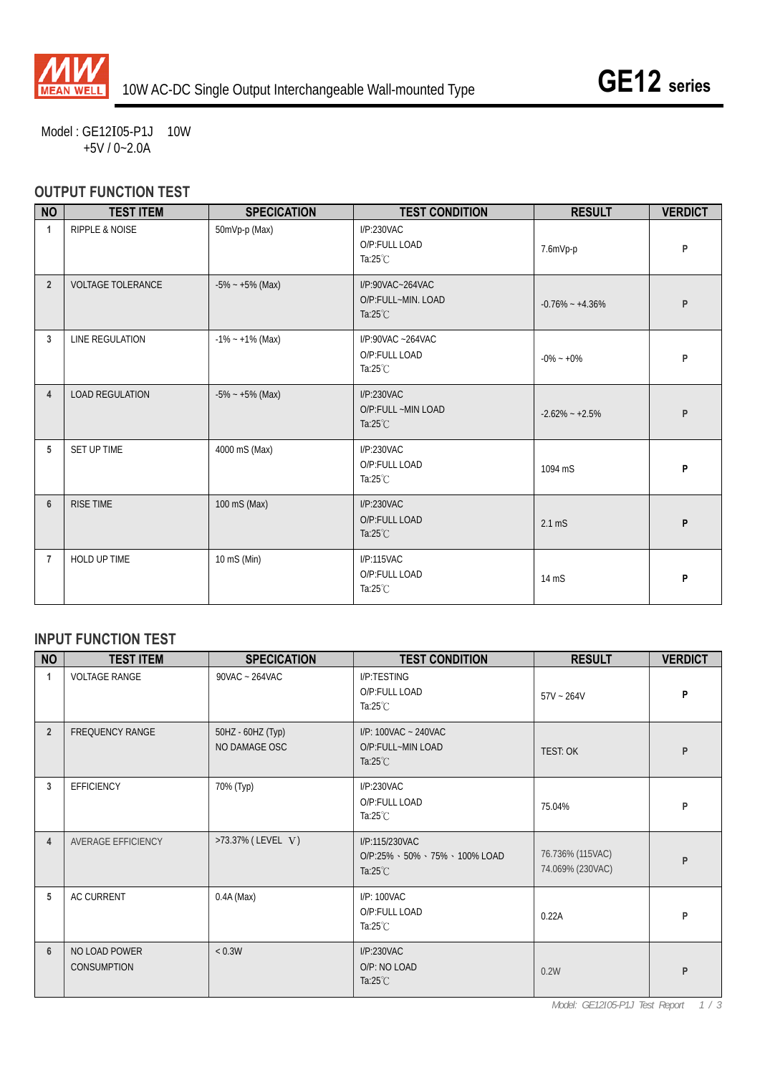

Model : GE12I05-P1J 10W +5V / 0~2.0A

## **OUTPUT FUNCTION TEST**

| <b>NO</b>      | <b>TEST ITEM</b>          | <b>SPECICATION</b>  | <b>TEST CONDITION</b>                                        | <b>RESULT</b>       | <b>VERDICT</b> |
|----------------|---------------------------|---------------------|--------------------------------------------------------------|---------------------|----------------|
| $\mathbf{1}$   | <b>RIPPLE &amp; NOISE</b> | 50mVp-p (Max)       | I/P:230VAC<br>O/P:FULL LOAD<br>Ta: $25^{\circ}$ C            | 7.6mVp-p            | P              |
| $\overline{2}$ | <b>VOLTAGE TOLERANCE</b>  | $-5\% - +5\%$ (Max) | I/P:90VAC~264VAC<br>O/P:FULL~MIN. LOAD<br>Ta: $25^{\circ}$ C | $-0.76\% - +4.36\%$ | P              |
| 3              | LINE REGULATION           | $-1\% - +1\%$ (Max) | $I/P$ :90VAC ~264VAC<br>O/P:FULL LOAD<br>Ta: $25^{\circ}$ C  | $-0\% - 0\%$        | P              |
| 4              | <b>LOAD REGULATION</b>    | $-5\% - +5\%$ (Max) | I/P:230VAC<br>O/P:FULL ~MIN LOAD<br>Ta: $25^{\circ}$ C       | $-2.62\% - +2.5\%$  | P              |
| 5              | SET UP TIME               | 4000 mS (Max)       | I/P:230VAC<br>O/P:FULL LOAD<br>Ta: $25^{\circ}$ C            | 1094 mS             | P              |
| $6\phantom{1}$ | <b>RISE TIME</b>          | 100 mS (Max)        | I/P:230VAC<br>O/P:FULL LOAD<br>Ta: $25^{\circ}$ C            | $2.1 \text{ mS}$    | P              |
| 7              | <b>HOLD UP TIME</b>       | 10 mS (Min)         | I/P:115VAC<br>O/P:FULL LOAD<br>Ta: $25^{\circ}$ C            | 14 mS               | P              |

#### **INPUT FUNCTION TEST**

| <b>NO</b>      | <b>TEST ITEM</b>                    | <b>SPECICATION</b>                 | <b>TEST CONDITION</b>                                                | <b>RESULT</b>                        | <b>VERDICT</b> |
|----------------|-------------------------------------|------------------------------------|----------------------------------------------------------------------|--------------------------------------|----------------|
| 1              | <b>VOLTAGE RANGE</b>                | 90VAC ~ 264VAC                     | I/P:TESTING<br>O/P:FULL LOAD<br>Ta: $25^{\circ}$ C                   | $57V - 264V$                         | P              |
| $\overline{2}$ | <b>FREQUENCY RANGE</b>              | 50HZ - 60HZ (Typ)<br>NO DAMAGE OSC | I/P: 100VAC ~ 240VAC<br>O/P:FULL~MIN LOAD<br>Ta: $25^{\circ}$ C      | <b>TEST: OK</b>                      | P              |
| 3              | <b>EFFICIENCY</b>                   | 70% (Typ)                          | I/P:230VAC<br>O/P:FULL LOAD<br>Ta: $25^{\circ}$ C                    | 75.04%                               | P              |
| $\overline{4}$ | AVERAGE EFFICIENCY                  | >73.37% (LEVEL V)                  | I/P:115/230VAC<br>O/P:25% 、50% 、75% 、100% LOAD<br>Ta: $25^{\circ}$ C | 76.736% (115VAC)<br>74.069% (230VAC) | P              |
| 5              | <b>AC CURRENT</b>                   | $0.4A$ (Max)                       | I/P: 100VAC<br>O/P:FULL LOAD<br>Ta: $25^{\circ}$ C                   | 0.22A                                | P              |
| 6              | NO LOAD POWER<br><b>CONSUMPTION</b> | < 0.3W                             | I/P:230VAC<br>O/P: NO LOAD<br>Ta: $25^{\circ}$ C                     | 0.2W                                 | P              |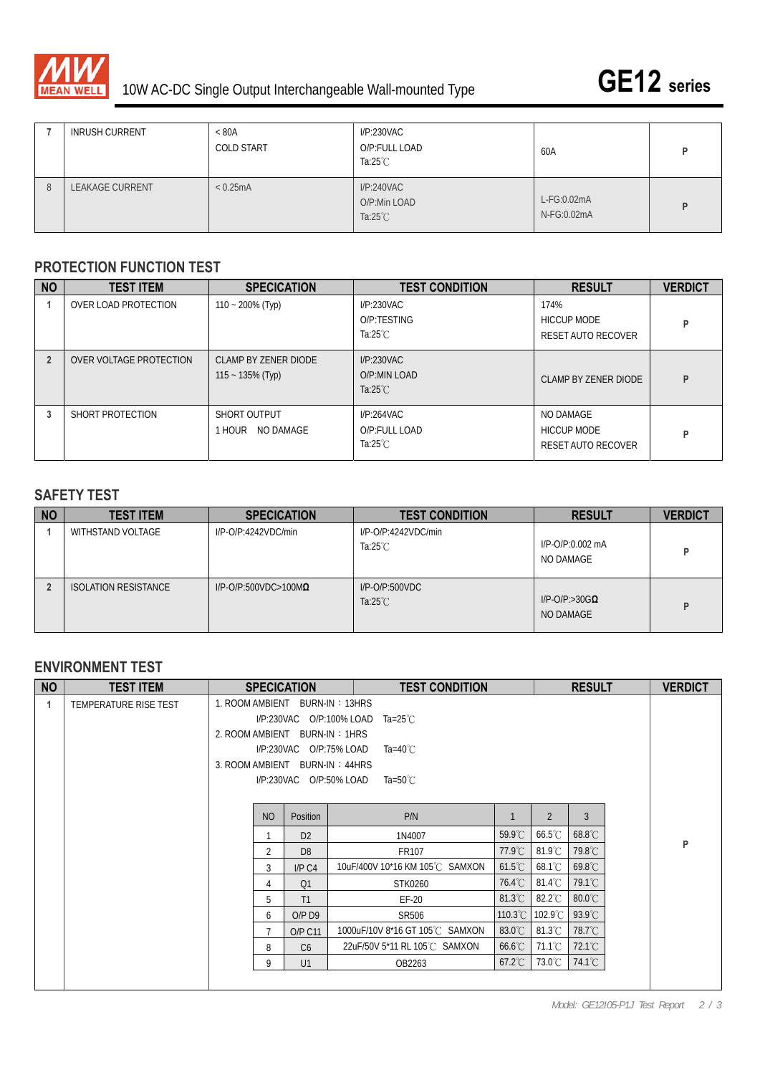

|   | <b>INRUSH CURRENT</b>  | < 80A<br><b>COLD START</b> | I/P:230VAC<br>O/P:FULL LOAD<br>Ta:25 $°C$        | 60A                        |  |
|---|------------------------|----------------------------|--------------------------------------------------|----------------------------|--|
| 8 | <b>LEAKAGE CURRENT</b> | < 0.25mA                   | I/P:240VAC<br>O/P:Min LOAD<br>Ta: $25^{\circ}$ C | L-FG:0.02mA<br>N-FG:0.02mA |  |

#### **PROTECTION FUNCTION TEST**

| <b>NO</b> | <b>TEST ITEM</b>        | <b>SPECICATION</b>                          | <b>TEST CONDITION</b>                             | <b>RESULT</b>                                    | <b>VERDICT</b> |
|-----------|-------------------------|---------------------------------------------|---------------------------------------------------|--------------------------------------------------|----------------|
|           | OVER LOAD PROTECTION    | $110 - 200\%$ (Typ)                         | I/P:230VAC<br>O/P:TESTING<br>Ta: $25^{\circ}$ C   | 174%<br><b>HICCUP MODE</b><br>RESET AUTO RECOVER | P              |
|           | OVER VOLTAGE PROTECTION | CLAMP BY ZENER DIODE<br>$115 - 135\%$ (Typ) | I/P:230VAC<br>O/P:MIN LOAD<br>Ta: $25^{\circ}$ C  | CLAMP BY ZENER DIODE                             | P              |
| 3         | SHORT PROTECTION        | SHORT OUTPUT<br><b>HOUR NO DAMAGE</b>       | I/P:264VAC<br>O/P:FULL LOAD<br>Ta: $25^{\circ}$ C | NO DAMAGE<br>HICCUP MODE<br>RESET AUTO RECOVER   | P              |

### **SAFETY TEST**

| <b>NO</b> | <b>TEST ITEM</b>            | <b>SPECICATION</b>              | <b>TEST CONDITION</b>                     | <b>RESULT</b>                         | <b>VERDICT</b> |
|-----------|-----------------------------|---------------------------------|-------------------------------------------|---------------------------------------|----------------|
|           | WITHSTAND VOLTAGE           | $I/P$ -O/P:4242VDC/min          | I/P-O/P:4242VDC/min<br>Ta: $25^{\circ}$ C | I/P-O/P:0.002 mA<br>NO DAMAGE         | D              |
|           | <b>ISOLATION RESISTANCE</b> | $I/P$ -O/P:500VDC>100M $\Omega$ | $I/P$ -O/P:500VDC<br>Ta: $25^{\circ}$ C   | $I/P$ -O/P:>30G $\Omega$<br>NO DAMAGE | D              |

### **ENVIRONMENT TEST**

| <b>NO</b> | <b>TEST ITEM</b>      |                                | <b>SPECICATION</b>                     | <b>TEST CONDITION</b>           |                  |                  | <b>RESULT</b>    |  | <b>VERDICT</b> |
|-----------|-----------------------|--------------------------------|----------------------------------------|---------------------------------|------------------|------------------|------------------|--|----------------|
| 1         | TEMPERATURE RISE TEST | 1. ROOM AMBIENT BURN-IN: 13HRS |                                        |                                 |                  |                  |                  |  |                |
|           |                       |                                | I/P:230VAC O/P:100% LOAD<br>Ta=25 $°C$ |                                 |                  |                  |                  |  |                |
|           |                       | 2. ROOM AMBIENT BURN-IN: 1HRS  |                                        |                                 |                  |                  |                  |  |                |
|           |                       |                                | I/P:230VAC O/P:75% LOAD                | Ta=40 $^{\circ}$ C              |                  |                  |                  |  |                |
|           |                       | 3. ROOM AMBIENT BURN-IN: 44HRS |                                        |                                 |                  |                  |                  |  |                |
|           |                       |                                |                                        | Ta=50 $^{\circ}$ C              |                  |                  |                  |  |                |
|           |                       |                                |                                        |                                 |                  |                  |                  |  |                |
|           |                       | <b>NO</b>                      | Position                               | P/N                             |                  | $\overline{2}$   | 3                |  |                |
|           |                       | 1                              | D <sub>2</sub>                         | 1N4007                          | $59.9^{\circ}$ C | $66.5^{\circ}$ C | 68.8°C           |  | P              |
|           |                       | 2                              | D <sub>8</sub>                         | FR107                           | $77.9^{\circ}$ C | $81.9^{\circ}$ C | 79.8°C           |  |                |
|           |                       | 3                              | I/P C4                                 | 10uF/400V 10*16 KM 105℃ SAMXON  | $61.5^{\circ}$ C | $68.1^{\circ}$ C | 69.8°C           |  |                |
|           |                       | 4                              | Q1                                     | STK0260                         | $76.4^{\circ}$ C | $81.4^{\circ}$ C | 79.1°C           |  |                |
|           |                       | 5                              | T1                                     | $EF-20$                         | $81.3^{\circ}$ C | $82.2^{\circ}$ C | $80.0^{\circ}$ C |  |                |
|           |                       | 6                              | $O/P$ D <sub>9</sub>                   | SR506                           | 110.3°C          | 102.9°C          | 93.9°C           |  |                |
|           |                       | $\overline{7}$                 | <b>O/P C11</b>                         | 1000uF/10V 8*16 GT 105°C SAMXON | $83.0^{\circ}$ C | $81.3^{\circ}$ C | 78.7°C           |  |                |
|           |                       | 8                              | C6                                     | 22uF/50V 5*11 RL 105℃ SAMXON    | $66.6^{\circ}$ C | 71.1°C           | $72.1^{\circ}$ C |  |                |
|           |                       | 9                              | U1                                     | OB2263                          | $67.2^{\circ}$ C | 73.0℃            | $74.1^{\circ}$ C |  |                |
|           |                       |                                |                                        |                                 |                  |                  |                  |  |                |